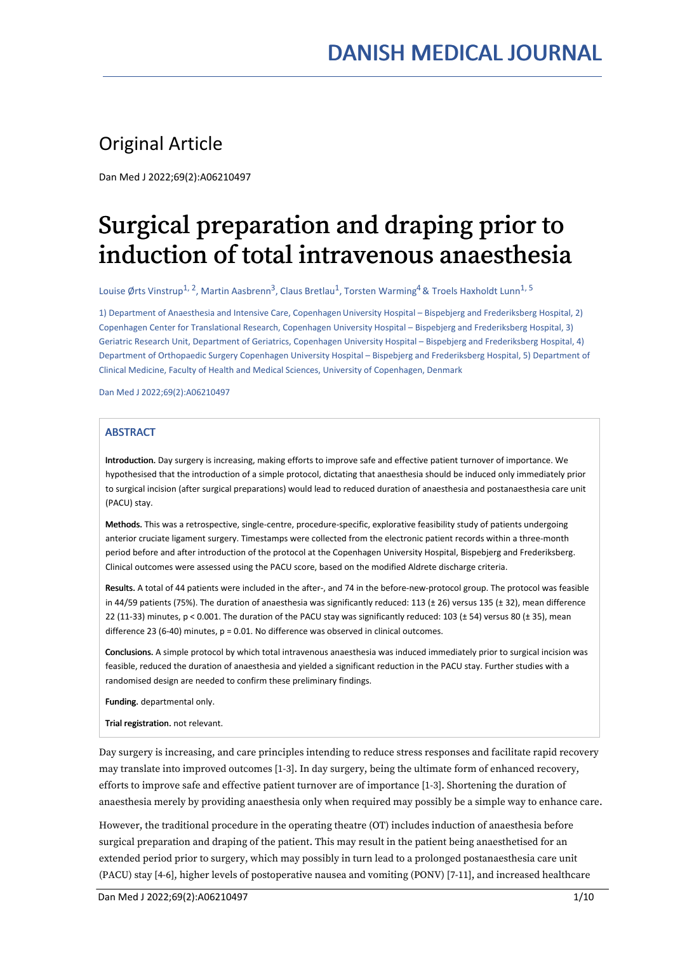### Original Article

Dan Med J 2022;69(2):A06210497

# Surgical preparation and draping prior to induction of total intravenous anaesthesia

Louise Ørts Vinstrup<sup>1, 2</sup>, Martin Aasbrenn<sup>3</sup>, Claus Bretlau<sup>1</sup>, Torsten Warming<sup>4</sup> & Troels Haxholdt Lunn<sup>1, 5</sup>

1) Department of Anaesthesia and Intensive Care, CopenhagenUniversity Hospital – Bispebjerg and Frederiksberg Hospital, 2) Copenhagen Center for Translational Research, Copenhagen University Hospital – Bispebjerg and Frederiksberg Hospital, 3) Geriatric Research Unit, Department of Geriatrics, Copenhagen University Hospital – Bispebjerg and Frederiksberg Hospital, 4) Department of Orthopaedic Surgery Copenhagen University Hospital – Bispebjerg and Frederiksberg Hospital, 5) Department of Clinical Medicine, Faculty of Health and Medical Sciences, University of Copenhagen, Denmark

Dan Med J 2022;69(2):A06210497

#### **ABSTRACT**

Introduction. Day surgery is increasing, making efforts to improve safe and effective patient turnover of importance. We hypothesised that the introduction of a simple protocol, dictating that anaesthesia should be induced only immediately prior to surgical incision (after surgical preparations) would lead to reduced duration of anaesthesia and postanaesthesia care unit (PACU) stay.

Methods. This was a retrospective, single-centre, procedure-specific, explorative feasibility study of patients undergoing anterior cruciate ligament surgery. Timestamps were collected from the electronic patient records within a three-month period before and after introduction of the protocol at the Copenhagen University Hospital, Bispebjerg and Frederiksberg. Clinical outcomes were assessed using the PACU score, based on the modified Aldrete discharge criteria.

Results. A total of 44 patients were included in the after-, and 74 in the before-new-protocol group. The protocol was feasible in 44/59 patients (75%). The duration of anaesthesia was significantly reduced: 113 ( $\pm$  26) versus 135 ( $\pm$  32), mean difference 22 (11-33) minutes,  $p < 0.001$ . The duration of the PACU stay was significantly reduced: 103 ( $\pm$  54) versus 80 ( $\pm$  35), mean difference 23 (6-40) minutes, p = 0.01. No difference was observed in clinical outcomes.

Conclusions. A simple protocol by which total intravenous anaesthesia was induced immediately prior to surgical incision was feasible, reduced the duration of anaesthesia and yielded a significant reduction in the PACU stay. Further studies with a randomised design are needed to confirm these preliminary findings.

Funding. departmental only.

Trial registration. not relevant.

Day surgery is increasing, and care principles intending to reduce stress responses and facilitate rapid recovery may translate into improved outcomes [1-3]. In day surgery, being the ultimate form of enhanced recovery, efforts to improve safe and effective patient turnover are of importance [1-3]. Shortening the duration of anaesthesia merely by providing anaesthesia only when required may possibly be a simple way to enhance care.

However, the traditional procedure in the operating theatre (OT) includes induction of anaesthesia before surgical preparation and draping of the patient. This may result in the patient being anaesthetised for an extended period prior to surgery, which may possibly in turn lead to a prolonged postanaesthesia care unit (PACU) stay [4-6], higher levels of postoperative nausea and vomiting (PONV) [7-11], and increased healthcare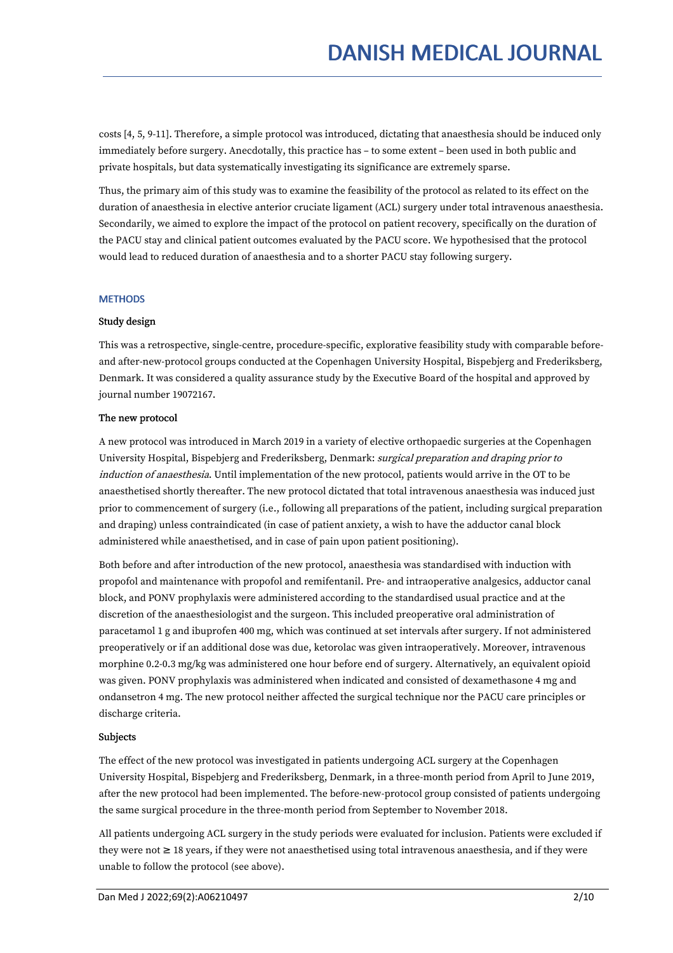costs [4, 5, 9-11]. Therefore, a simple protocol was introduced, dictating that anaesthesia should be induced only immediately before surgery. Anecdotally, this practice has – to some extent – been used in both public and private hospitals, but data systematically investigating its significance are extremely sparse.

Thus, the primary aim of this study was to examine the feasibility of the protocol as related to its effect on the duration of anaesthesia in elective anterior cruciate ligament (ACL) surgery under total intravenous anaesthesia. Secondarily, we aimed to explore the impact of the protocol on patient recovery, specifically on the duration of the PACU stay and clinical patient outcomes evaluated by the PACU score. We hypothesised that the protocol would lead to reduced duration of anaesthesia and to a shorter PACU stay following surgery.

#### **METHODS**

#### Study design

This was a retrospective, single-centre, procedure-specific, explorative feasibility study with comparable before and after-new-protocol groups conducted at the Copenhagen University Hospital, Bispebjerg and Frederiksberg, Denmark. It was considered a quality assurance study by the Executive Board of the hospital and approved by journal number 19072167.

#### The new protocol

A new protocol was introduced in March 2019 in a variety of elective orthopaedic surgeries at the Copenhagen University Hospital, Bispebjerg and Frederiksberg, Denmark: surgical preparation and draping prior to induction of anaesthesia. Until implementation of the new protocol, patients would arrive in the OT to be anaesthetised shortly thereafter. The new protocol dictated that total intravenous anaesthesia was induced just prior to commencement of surgery (i.e., following all preparations of the patient, including surgical preparation and draping) unless contraindicated (in case of patient anxiety, a wish to have the adductor canal block administered while anaesthetised, and in case of pain upon patient positioning).

Both before and after introduction of the new protocol, anaesthesia was standardised with induction with propofol and maintenance with propofol and remifentanil. Pre- and intraoperative analgesics, adductor canal block, and PONV prophylaxis were administered according to the standardised usual practice and at the discretion of the anaesthesiologist and the surgeon. This included preoperative oral administration of paracetamol 1 g and ibuprofen 400 mg, which was continued at set intervals after surgery. If not administered preoperatively or if an additional dose was due, ketorolac was given intraoperatively. Moreover, intravenous morphine 0.2-0.3 mg/kg was administered one hour before end of surgery. Alternatively, an equivalent opioid was given. PONV prophylaxis was administered when indicated and consisted of dexamethasone 4 mg and ondansetron 4 mg. The new protocol neither affected the surgical technique nor the PACU care principles or discharge criteria.

#### Subjects

The effect of the new protocol was investigated in patients undergoing ACL surgery at the Copenhagen University Hospital, Bispebjerg and Frederiksberg, Denmark, in a three-month period from April to June 2019, after the new protocol had been implemented. The before-new-protocol group consisted of patients undergoing the same surgical procedure in the three-month period from September to November 2018.

All patients undergoing ACL surgery in the study periods were evaluated for inclusion. Patients were excluded if they were not ≥ 18 years, if they were not anaesthetised using total intravenous anaesthesia, and if they were unable to follow the protocol (see above).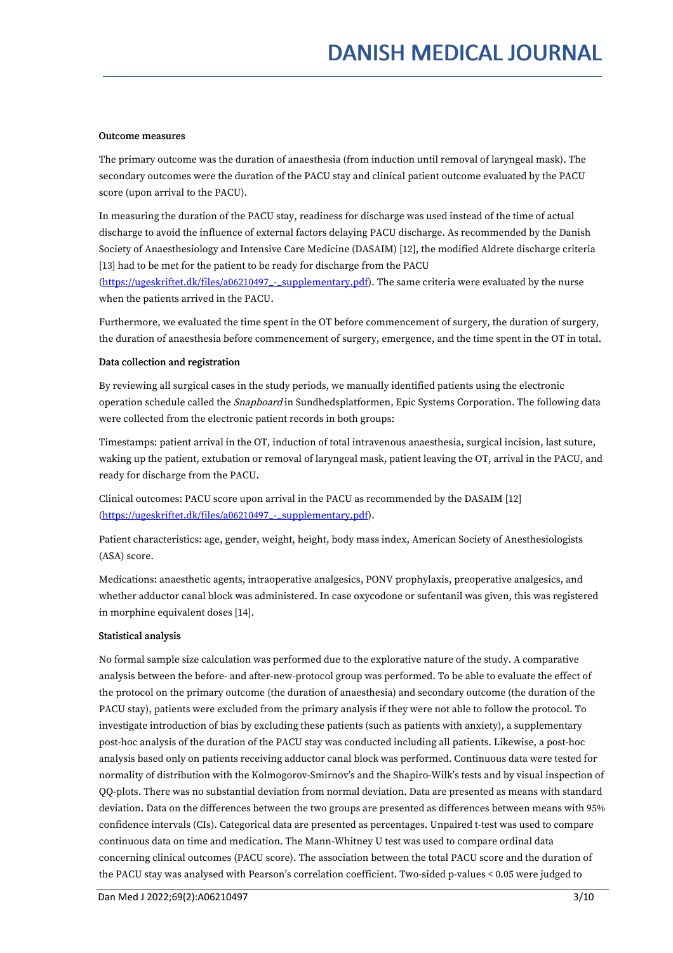#### Outcome measures

The primary outcome was the duration of anaesthesia (from induction until removal of laryngeal mask). The secondary outcomes were the duration of the PACU stay and clinical patient outcome evaluated by the PACU score (upon arrival to the PACU).

In measuring the duration of the PACU stay, readiness for discharge was used instead of the time of actual discharge to avoid the influence of external factors delaying PACU discharge. As recommended by the Danish Society of Anaesthesiology and Intensive Care Medicine (DASAIM) [12], the modified Aldrete discharge criteria [13] had to be met for the patient to be ready for discharge from the PACU

(https://ugeskriftet.dk/files/a06210497 - supplementary.pdf). The same criteria were evaluated by the nurse when the patients arrived in the PACU.

Furthermore, we evaluated the time spent in the OT before commencement of surgery, the duration of surgery, the duration of anaesthesia before commencement of surgery, emergence, and the time spent in the OT in total.

#### Data collection and registration

By reviewing all surgical cases in the study periods, we manually identified patients using the electronic operation schedule called the Snapboard in Sundhedsplatformen, Epic Systems Corporation. The following data were collected from the electronic patient records in both groups:

Timestamps: patient arrival in the OT, induction of total intravenous anaesthesia, surgical incision, last suture, waking up the patient, extubation or removal of laryngeal mask, patient leaving the OT, arrival in the PACU, and ready for discharge from the PACU.

Clinical outcomes: PACU score upon arrival in the PACU as recommended by the DASAIM [12] [\(https://ugeskriftet.dk/files/a06210497\\_-\\_supplementary.pdf](https://ugeskriftet.dk/files/a06210497_-_supplementary.pdf)).

Patient characteristics: age, gender, weight, height, body mass index, American Society of Anesthesiologists (ASA) score.

Medications: anaesthetic agents, intraoperative analgesics, PONV prophylaxis, preoperative analgesics, and whether adductor canal block was administered. In case oxycodone or sufentanil was given, this was registered in morphine equivalent doses [14].

#### Statistical analysis

No formal sample size calculation was performed due to the explorative nature of the study. A comparative analysis between the before- and after-new-protocol group was performed. To be able to evaluate the effect of the protocol on the primary outcome (the duration of anaesthesia) and secondary outcome (the duration of the PACU stay), patients were excluded from the primary analysis if they were not able to follow the protocol. To investigate introduction of bias by excluding these patients (such as patients with anxiety), a supplementary post-hoc analysis of the duration ofthe PACU stay was conducted including all patients. Likewise, a post-hoc analysis based only on patients receiving adductor canal block was performed. Continuous data were tested for normality of distribution with the Kolmogorov-Smirnov's and the Shapiro-Wilk's tests and by visual inspection of QQ-plots. There was no substantial deviation from normal deviation. Data are presented as means with standard deviation. Data on the differences between the two groups are presented as differences between means with 95% confidence intervals (CIs). Categorical data are presented as percentages. Unpaired t-test was used to compare continuous data on time and medication. The Mann-Whitney U test was used to compare ordinal data concerning clinical outcomes (PACU score). The association between the total PACU score and the duration of the PACU stay was analysed with Pearson's correlation coefficient. Two-sided p-values < 0.05 were judged to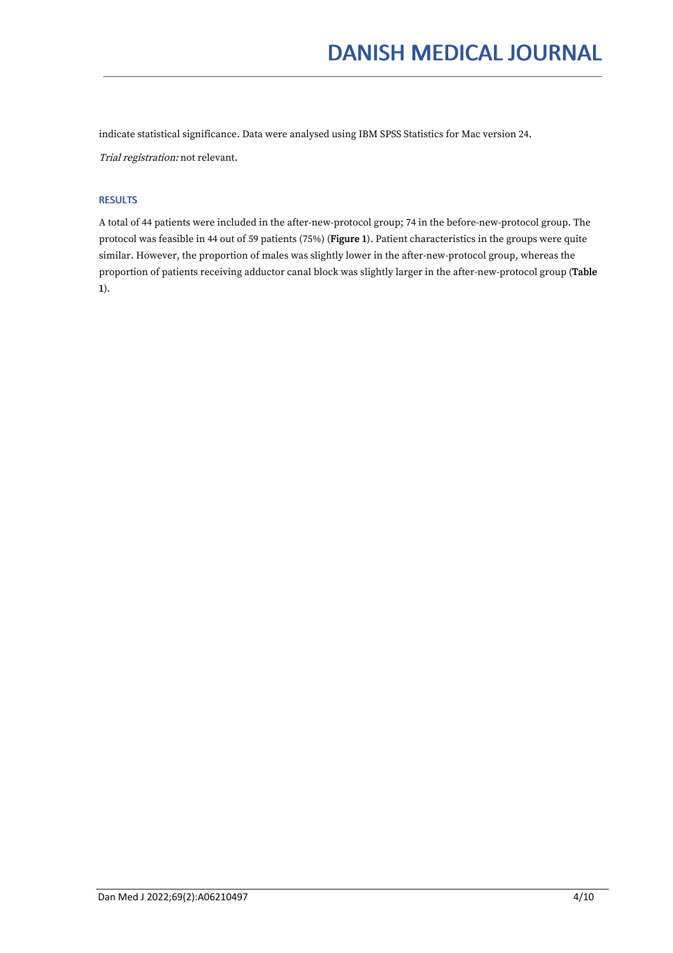indicate statistical significance. Data were analysed using IBM SPSS Statistics for Mac version 24.Trial registration: not relevant.

#### RESULTS

A total of 44 patients were included in the after-new-protocol group; 74 in the before-new-protocol group. The protocol was feasible in 44 out of 59 patients (75%) (Figure 1). Patient characteristics in the groups were quite similar. However, the proportion of males was slightly lower in the after-new-protocol group, whereas the proportion of patients receiving adductor canal block was slightly larger in the after-new-protocol group (Table 1).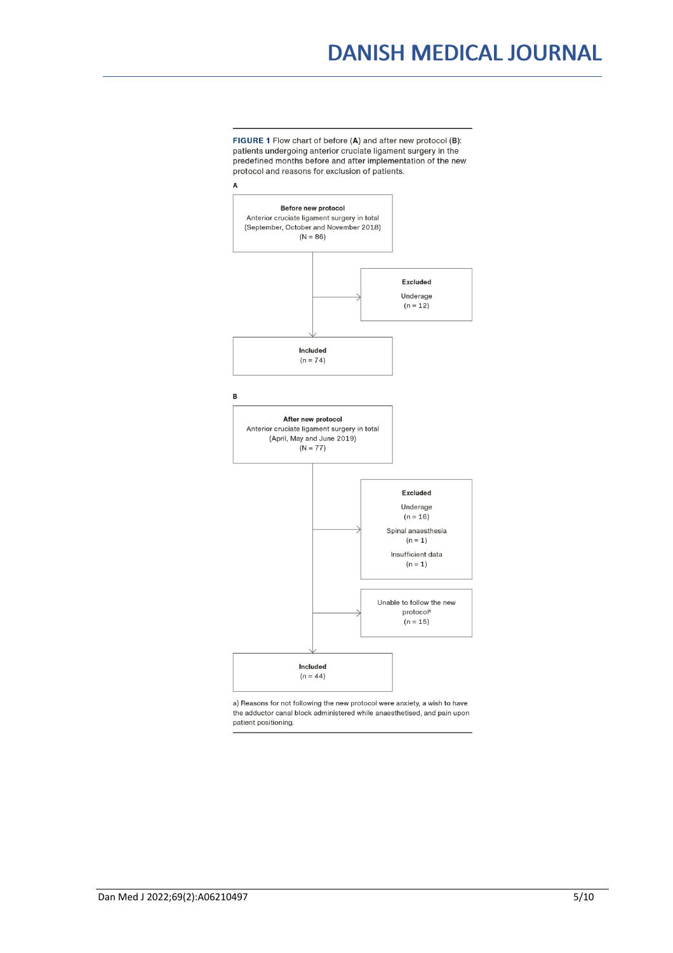## DANISH MEDICAL JOURNAL

FIGURE 1 Flow chart of before (A) and after new protocol (B): patients undergoing anterior cruciate ligament surgery in the predefined months before and after implementation of the new protocol and reasons for exclusion of patients.



a) Reasons for not following the new protocol were anxiety, a wish to have the adductor canal block administered while anaesthetised, and pain upon patient positioning.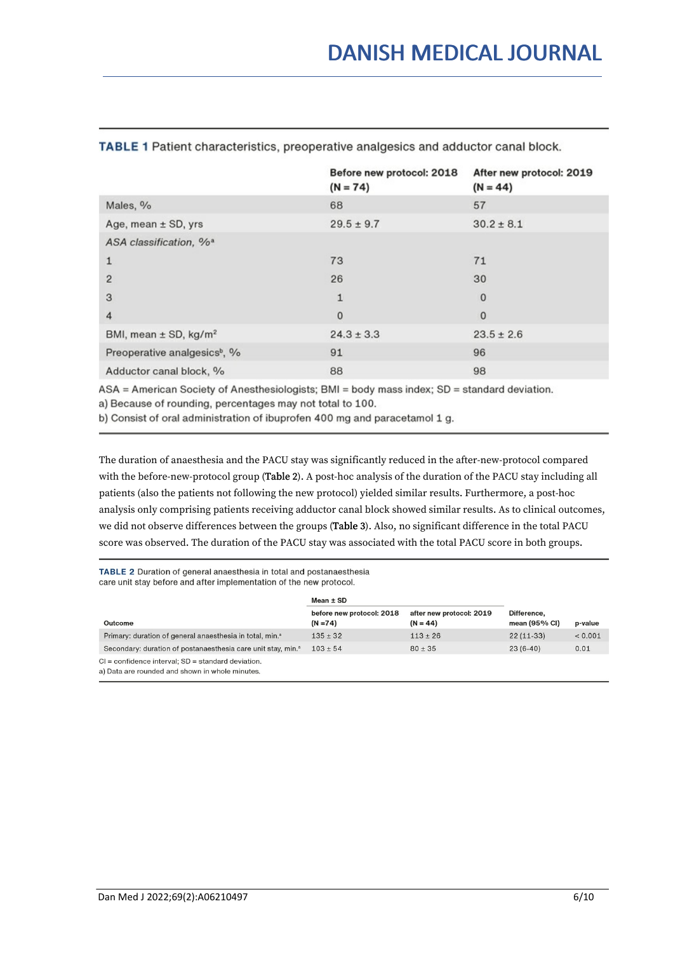|                                          | Before new protocol: 2018<br>$(N = 74)$ | After new protocol: 2019<br>$(N = 44)$ |
|------------------------------------------|-----------------------------------------|----------------------------------------|
| Males, %                                 | 68                                      | 57                                     |
| Age, mean $\pm$ SD, yrs                  | $29.5 \pm 9.7$                          | $30.2 \pm 8.1$                         |
| ASA classification, % <sup>a</sup>       |                                         |                                        |
| $\mathbf{1}$                             | 73                                      | 71                                     |
| $\overline{2}$                           | 26                                      | 30                                     |
| 3                                        | 1                                       | 0                                      |
| 4                                        | $\mathbf 0$                             | $\mathbf{0}$                           |
| BMI, mean $\pm$ SD, kg/m <sup>2</sup>    | $24.3 \pm 3.3$                          | $23.5 \pm 2.6$                         |
| Preoperative analgesics <sup>b</sup> , % | 91                                      | 96                                     |
| Adductor canal block, %                  | 88                                      | 98                                     |

#### TABLE 1 Patient characteristics, preoperative analgesics and adductor canal block.

ASA = American Society of Anesthesiologists; BMI = body mass index; SD = standard deviation. a) Because of rounding, percentages may not total to 100.

b) Consist of oral administration of ibuprofen 400 mg and paracetamol 1 g.

The duration of anaesthesia and the PACU stay was significantly reduced in the after-new-protocol compared with the before-new-protocol group (Table 2). A post-hoc analysis of the duration of the PACU stay including all patients (also the patients not following the new protocol) yielded similar results. Furthermore, a post-hoc analysis only comprising patients receiving adductor canal block showed similar results. As to clinical outcomes, we did not observe differences between the groups (Table 3). Also, no significant difference in the total PACU score was observed. The duration of the PACU stay was associated with the total PACU score in both groups.

TABLE 2 Duration of general anaesthesia in total and postanaesthesia care unit stay before and after implementation of the new protocol.

|                                                                                                           | $Mean \pm SD$                           |                                        |                                |         |
|-----------------------------------------------------------------------------------------------------------|-----------------------------------------|----------------------------------------|--------------------------------|---------|
| Outcome                                                                                                   | before new protocol: 2018<br>$(N = 74)$ | after new protocol: 2019<br>$(N = 44)$ | Difference,<br>mean $(95%$ CI) | p-value |
| Primary: duration of general anaesthesia in total, min. <sup>a</sup>                                      | $135 \pm 32$                            | $113 \pm 26$                           | $22(11-33)$                    | < 0.001 |
| Secondary: duration of postanaesthesia care unit stay, min. <sup>a</sup>                                  | $103 \pm 54$                            | $80 \pm 35$                            | $23(6-40)$                     | 0.01    |
| $Cl =$ confidence interval; $SD =$ standard deviation.<br>a) Data are rounded and shown in whole minutes. |                                         |                                        |                                |         |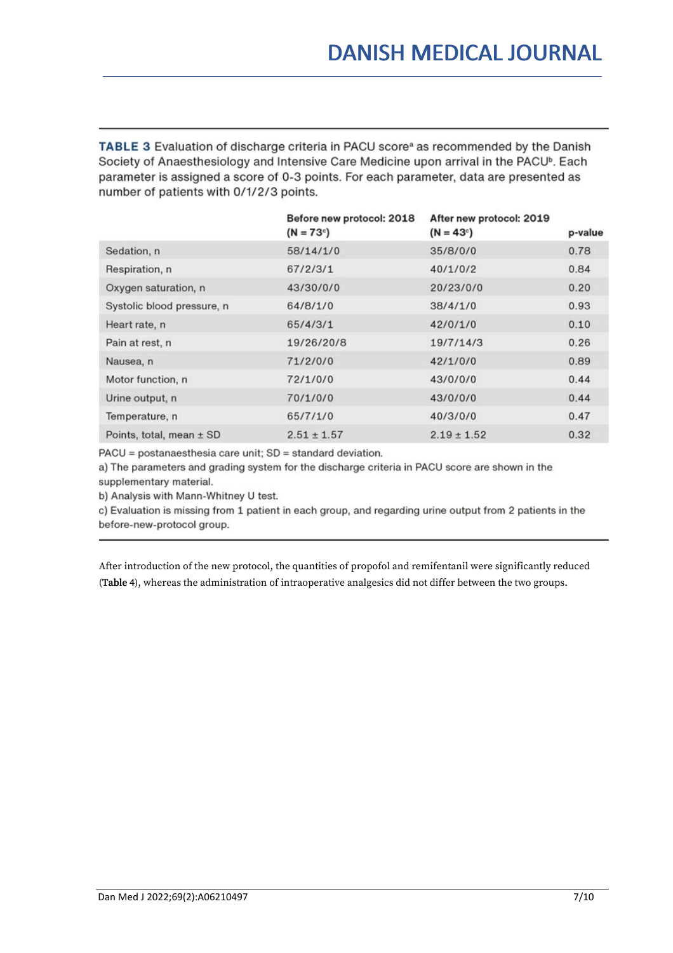TABLE 3 Evaluation of discharge criteria in PACU score<sup>a</sup> as recommended by the Danish Society of Anaesthesiology and Intensive Care Medicine upon arrival in the PACU<sup>b</sup>. Each parameter is assigned a score of 0-3 points. For each parameter, data are presented as number of patients with 0/1/2/3 points.

|                            | Before new protocol: 2018<br>$(N = 73^{\circ})$ | After new protocol: 2019<br>$(N = 43c)$ | p-value |
|----------------------------|-------------------------------------------------|-----------------------------------------|---------|
| Sedation, n                | 58/14/1/0                                       | 35/8/0/0                                | 0.78    |
| Respiration, n             | 67/2/3/1                                        | 40/1/0/2                                | 0.84    |
| Oxygen saturation, n       | 43/30/0/0                                       | 20/23/0/0                               | 0.20    |
| Systolic blood pressure, n | 64/8/1/0                                        | 38/4/1/0                                | 0.93    |
| Heart rate, n              | 65/4/3/1                                        | 42/0/1/0                                | 0.10    |
| Pain at rest, n            | 19/26/20/8                                      | 19/7/14/3                               | 0.26    |
| Nausea, n                  | 71/2/0/0                                        | 42/1/0/0                                | 0.89    |
| Motor function, n          | 72/1/0/0                                        | 43/0/0/0                                | 0.44    |
| Urine output, n            | 70/1/0/0                                        | 43/0/0/0                                | 0.44    |
| Temperature, n             | 65/7/1/0                                        | 40/3/0/0                                | 0.47    |
| Points, total, mean ± SD   | $2.51 \pm 1.57$                                 | $2.19 \pm 1.52$                         | 0.32    |

PACU = postanaesthesia care unit; SD = standard deviation.

a) The parameters and grading system for the discharge criteria in PACU score are shown in the supplementary material.

b) Analysis with Mann-Whitney U test.

c) Evaluation is missing from 1 patient in each group, and regarding urine output from 2 patients in the before-new-protocol group.

After introduction of the new protocol, the quantities of propofol and remifentanil were significantly reduced (Table 4), whereas the administration of intraoperative analgesics did not differ between the two groups.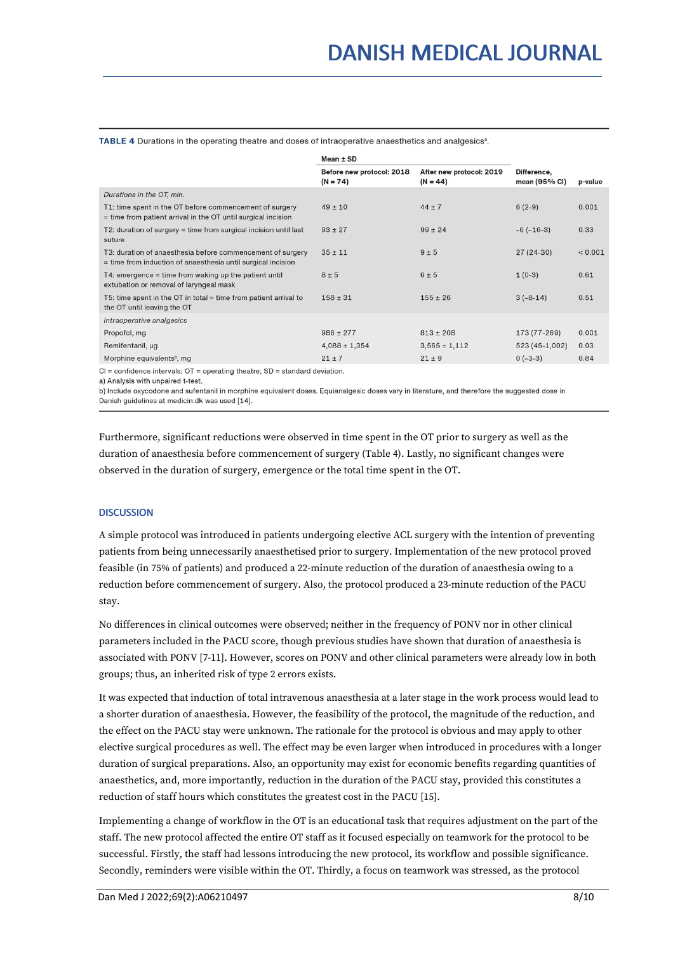TABLE 4 Durations in the operating theatre and doses of intraoperative anaesthetics and analgesics<sup>a</sup>.

|                                                                                                                            | Mean ± SD                               |                                        |                              |         |
|----------------------------------------------------------------------------------------------------------------------------|-----------------------------------------|----------------------------------------|------------------------------|---------|
|                                                                                                                            | Before new protocol: 2018<br>$(N = 74)$ | After new protocol: 2019<br>$(N = 44)$ | Difference,<br>mean (95% CI) | p-value |
| Durations in the OT, min.                                                                                                  |                                         |                                        |                              |         |
| T1: time spent in the OT before commencement of surgery<br>$=$ time from patient arrival in the OT until surgical incision | $49 \pm 10$                             | $44 + 7$                               | $6(2-9)$                     | 0.001   |
| T2: duration of surgery $=$ time from surgical incision until last<br>suture                                               | $93 \pm 27$                             | $99 \pm 24$                            | $-6(-16-3)$                  | 0.33    |
| T3: duration of anaesthesia before commencement of surgery<br>= time from induction of anaesthesia until surgical incision | $35 \pm 11$                             | $9 \pm 5$                              | $27(24-30)$                  | < 0.001 |
| $T4$ : emergence = time from waking up the patient until<br>extubation or removal of laryngeal mask                        | $8 \pm 5$                               | $6 \pm 5$                              | $1(0-3)$                     | 0.61    |
| T5: time spent in the OT in total $=$ time from patient arrival to<br>the OT until leaving the OT                          | $158 \pm 31$                            | $155 \pm 26$                           | $3(-8-14)$                   | 0.51    |
| Intraoperative analgesics                                                                                                  |                                         |                                        |                              |         |
| Propofol, mg                                                                                                               | $986 \pm 277$                           | $813 \pm 208$                          | 173 (77-269)                 | 0.001   |
| Remifentanil, µg                                                                                                           | $4,088 \pm 1,354$                       | $3,565 \pm 1,112$                      | 523 (45-1,002)               | 0.03    |
| Morphine equivalents <sup>b</sup> , mg                                                                                     | $21 \pm 7$                              | $21 \pm 9$                             | $0(-3-3)$                    | 0.84    |
| $Cl =$ confidence intervals: $OT =$ constitue theoree: $CD =$ standard deviation                                           |                                         |                                        |                              |         |

a) Analysis with unpaired t-test.

b) Include oxycodone and sufentanil in morphine equivalent doses. Equianalgesic doses vary in literature, and therefore the suggested dose in Danish guidelines at medicin.dk was used [14].

Furthermore, significant reductions were observed in time spent in the OT prior to surgery as well as the duration of anaesthesia before commencement of surgery (Table 4). Lastly, no significant changes were observed in the duration of surgery, emergence or the total time spent in the OT.

#### **DISCUSSION**

A simple protocol was introduced in patients undergoing elective ACL surgery with the intention of preventing patients from being unnecessarily anaesthetised prior to surgery. Implementation of the new protocol proved feasible (in 75% of patients) and produced a 22-minute reduction of the duration of anaesthesia owing to a reduction before commencement of surgery. Also, the protocol produced a 23-minute reduction of the PACU stay.

No differences in clinical outcomes were observed; neither in the frequency of PONV nor in other clinical parameters included in the PACU score, though previous studies have shown that duration of anaesthesia is associated with PONV [7-11]. However, scores on PONV and other clinical parameters were already low in both groups; thus, an inherited risk of type 2 errors exists.

It was expected that induction of total intravenous anaesthesia at a later stage in the work process would lead to a shorter duration of anaesthesia. However, the feasibility of the protocol, the magnitude of the reduction, and the effect on the PACU stay were unknown. The rationale for the protocol is obvious and may apply to other elective surgical procedures as well. The effect may be even larger when introduced in procedures with a longer duration of surgical preparations. Also, an opportunity may exist for economic benefits regarding quantities of anaesthetics, and, more importantly, reduction in the duration of the PACU stay, provided this constitutes a reduction of staff hours which constitutes the greatest cost in the PACU [15].

Implementing a change of workflow in the OT is an educational task that requires adjustment on the part of the staff. The new protocol affected the entire OT staff as it focused especially on teamwork for the protocol to be successful. Firstly, the staff had lessons introducing the new protocol, its workflow and possible significance. Secondly, reminders were visible within the OT. Thirdly, a focus on teamwork was stressed, as the protocol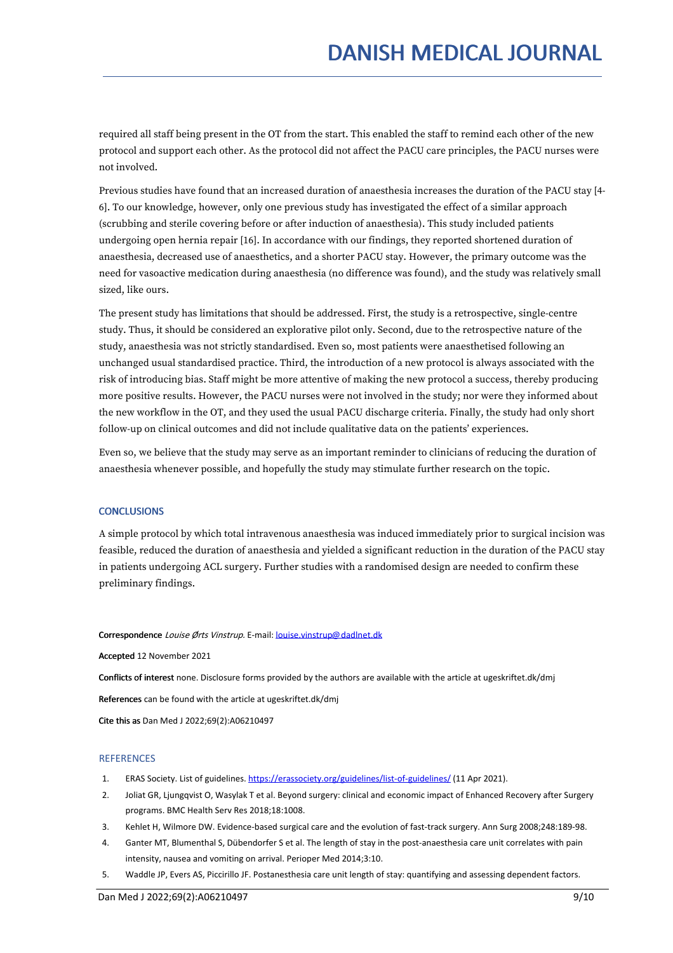required allstaff being present in the OT from the start. This enabled the staff to remind each other of the new protocol and support each other. As the protocol did not affect the PACU care principles, the PACU nurses were not involved.

Previous studies have found that an increased duration of anaesthesia increases the duration ofthe PACU stay [4- 6]. To our knowledge, however, only one previous study has investigated the effect of a similar approach (scrubbing and sterile covering before or after induction of anaesthesia). This study included patients undergoing open hernia repair [16]. In accordance with our findings, they reported shortened duration of anaesthesia, decreased use of anaesthetics, and a shorter PACU stay. However, the primary outcome was the need for vasoactive medication during anaesthesia (no difference was found), and the study was relatively small sized, like ours.

The present study has limitations that should be addressed. First, the study is a retrospective, single-centre study. Thus, it should be considered an explorative pilot only. Second, due to the retrospective nature of the study, anaesthesia was not strictly standardised. Even so, most patients were anaesthetised following an unchanged usual standardised practice. Third, the introduction of a new protocol is always associated with the risk of introducing bias. Staff might be more attentive of making the new protocol a success, thereby producing more positive results. However, the PACU nurses were not involved in the study; nor were they informed about the new workflow in the OT, and they used the usual PACU discharge criteria. Finally, the study had only short follow-up on clinical outcomes and did not include qualitative data on the patients' experiences.

Even so, we believe that the study may serve as an important reminder to clinicians of reducing the duration of anaesthesia whenever possible, and hopefully the study may stimulate further research on the topic.

#### **CONCLUSIONS**

A simple protocol by which total intravenous anaesthesia was induced immediately prior to surgical incision was feasible, reduced the duration of anaesthesia and yielded a significant reduction in the duration of the PACU stay in patients undergoing ACL surgery. Further studies with a randomised design are needed to confirm these preliminary findings.

#### Correspondence Louise Ørts Vinstrup. E-mail: [louise.vinstrup@dadlnet.dk](mailto:louise.vinstrup@dadlnet.dk)

Accepted 12 November 2021

Conflicts of interest none. Disclosure forms provided by the authors are available with the article at ugeskriftet.dk/dmj

References can be found with the article at ugeskriftet.dk/dmj

Cite this as Dan Med J 2022;69(2):A06210497

#### **REFERENCES**

- 1. ERAS Society. List of guidelines. <https://erassociety.org/guidelines/list-of-guidelines/> (11 Apr 2021).
- 2. Joliat GR, Ljungqvist O, Wasylak T et al. Beyond surgery: clinical and economic impact of Enhanced Recovery after Surgery programs. BMC Health Serv Res 2018;18:1008.
- 3. Kehlet H, Wilmore DW. Evidence-based surgical care and the evolution of fast-track surgery. Ann Surg 2008;248:189-98.
- 4. Ganter MT, Blumenthal S, Dübendorfer S et al. The length of stay in the post-anaesthesia care unit correlates with pain intensity, nausea and vomiting on arrival. Perioper Med 2014;3:10.
- 5. Waddle JP, Evers AS, Piccirillo JF. Postanesthesia care unit length of stay: quantifying and assessing dependent factors.